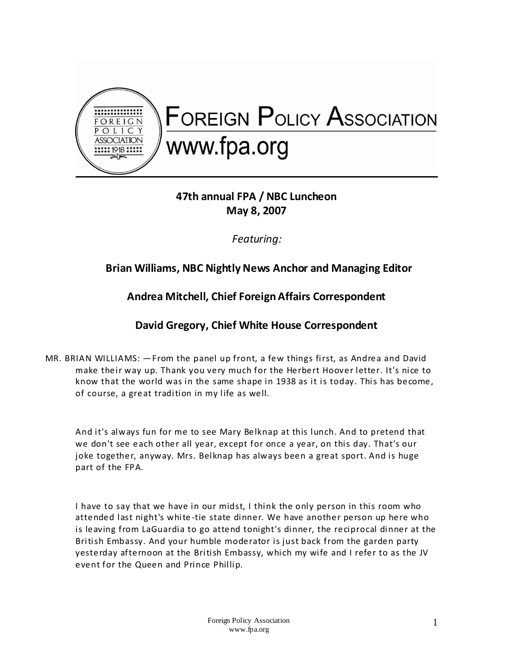

# **47th annual FPA / NBC Luncheon May 8, 2007**

*Featuring:*

## **Brian Williams, NBC Nightly News Anchor and Managing Editor**

## **Andrea Mitchell, Chief Foreign Affairs Correspondent**

## **David Gregory, Chief White House Correspondent**

MR. BRIAN WILLIAMS: —From the panel up front, a few things first, as Andrea and David make their way up. Thank you very much for the Herbert Hoover letter. It's nice to know that the world was in the same shape in 1938 as it is today. This has become, of course, a great tradition in my life as well.

And it's always fun for me to see Mary Belknap at this lunch. And to pretend that we don't see each other all year, except for once a year, on this day. That's our joke together, anyway. Mrs. Belknap has always been a great sport. And is huge part of the FPA.

I have to say that we have in our midst, I think the only person in this room who attended last night's white -tie state dinner. We have another person up here who is leaving from LaGuardia to go attend tonight's dinner, the reciprocal dinner at the British Embassy. And your humble moderator is just back from the garden party yesterday afternoon at the British Embassy, which my wife and I refer to as the JV event for the Queen and Prince Phillip.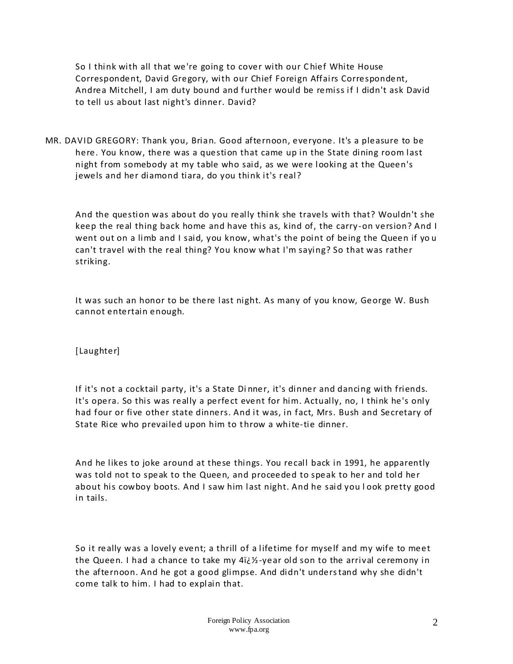So I think with all that we're going to cover with our C hief White House Correspondent, David Gregory, with our Chief Foreign Affairs Correspondent, Andrea Mitchell, I am duty bound and further would be remiss if I didn't ask David to tell us about last night's dinner. David?

MR. DAVID GREGORY: Thank you, Brian. Good afternoon, everyone. It's a pleasure to be here. You know, there was a question that came up in the State dining room last night from somebody at my table who said, as we were looking at the Queen's jewels and her diamond tiara, do you think it's real?

And the question was about do you really think she travels with that? Wouldn't she keep the real thing back home and have this as, kind of, the carry-on version? And I went out on a limb and I said, you know, what's the point of being the Queen if yo u can't travel with the real thing? You know what I'm saying? So that was rather striking.

It was such an honor to be there last night. As many of you know, George W. Bush cannot entertain enough.

[Laughter]

If it's not a cocktail party, it's a State Di nner, it's dinner and dancing with friends. It's opera. So this was really a perfect event for him. Actually, no, I think he's only had four or five other state dinners. And it was, in fact, Mrs. Bush and Secretary of State Rice who prevailed upon him to throw a white-tie dinner.

And he likes to joke around at these things. You recall back in 1991, he apparently was told not to speak to the Queen, and proceeded to speak to her and told her about his cowboy boots. And I saw him last night. And he said you l ook pretty good in tails.

So it really was a lovely event; a thrill of a lifetime for myself and my wife to meet the Queen. I had a chance to take my 4i¿1/2-year old son to the arrival ceremony in the afternoon. And he got a good glimpse. And didn't understand why she didn't come talk to him. I had to explain that.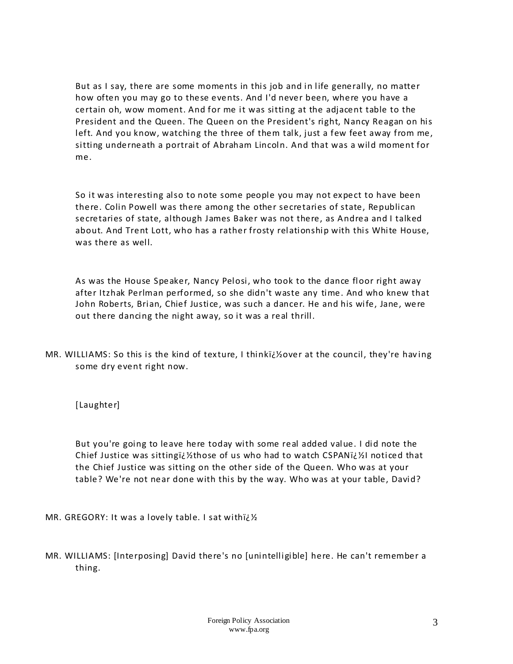But as I say, there are some moments in this job and in life generally, no matter how often you may go to these events. And I'd never been, where you have a certain oh, wow moment. And for me it was sitting at the adjacent table to the President and the Queen. The Queen on the President's right, Nancy Reagan on his left. And you know, watching the three of them talk, just a few feet away from me, sitting underneath a portrait of Abraham Lincoln. And that was a wild moment for me.

So it was interesting also to note some people you may not expect to have been there. Colin Powell was there among the other secretaries of state, Republican secretaries of state, although James Baker was not there, as Andrea and I talked about. And Trent Lott, who has a rather frosty relationship with this White House, was there as well.

As was the House Speaker, Nancy Pelosi, who took to the dance floor right away after Itzhak Perlman performed, so she didn't waste any time. And who knew that John Roberts, Brian, Chief Justice, was such a dancer. He and his wife, Jane, were out there dancing the night away, so it was a real thrill.

MR. WILLIAMS: So this is the kind of texture, I thinki $\ddot{\psi}$ over at the council, they're having some dry event right now.

[Laughter]

But you're going to leave here today with some real added value. I did note the Chief Justice was sittingii 1/2 those of us who had to watch CSPANii  $\mathcal{V}_1$  noticed that the Chief Justice was sitting on the other side of the Queen. Who was at your table? We're not near done with this by the way. Who was at your table, David?

MR. GREGORY: It was a lovely table. I sat with  $i/2$ 

MR. WILLIAMS: [Interposing] David there's no [unintelligible] here. He can't remember a thing.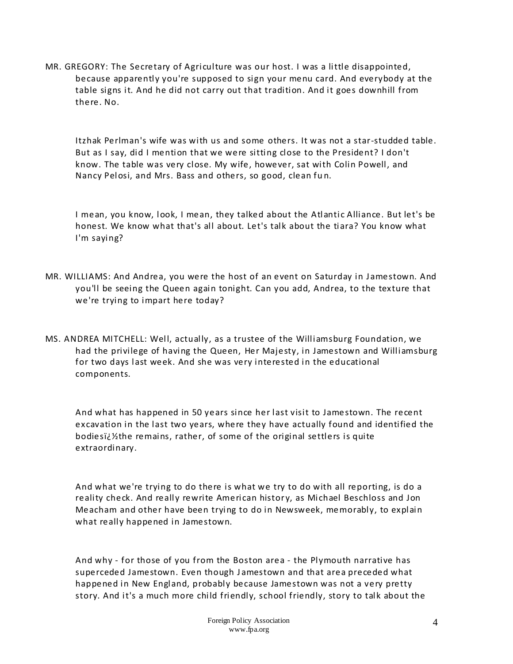MR. GREGORY: The Secretary of Agriculture was our host. I was a little disappointed, because apparently you're supposed to sign your menu card. And everybody at the table signs it. And he did not carry out that tradition. And it goes downhill from there. No.

Itzhak Perlman's wife was with us and some others. It was not a star-studded table. But as I say, did I mention that we were sitting close to the President? I don't know. The table was very close. My wife, however, sat with Colin Powell, and Nancy Pelosi, and Mrs. Bass and others, so good, clean fu n.

I mean, you know, look, I mean, they talked about the Atlantic Alliance. But let's be honest. We know what that's all about. Let's talk about the tiara? You know what I'm saying?

- MR. WILLIAMS: And Andrea, you were the host of an event on Saturday in Jamestown. And you'll be seeing the Queen again tonight. Can you add, Andrea, to the texture that we're trying to impart here today?
- MS. ANDREA MITCHELL: Well, actually, as a trustee of the Williamsburg Foundation, we had the privilege of having the Queen, Her Majesty, in Jamestown and Williamsburg for two days last week. And she was very interested in the educational components.

And what has happened in 50 years since her last visit to Jamestown. The recent excavation in the last two years, where they have actually found and identified the bodiesi $\zeta$ <sup>1</sup>/<sub>2</sub> the remains, rather, of some of the original settlers is quite extraordinary.

And what we're trying to do there is what we try to do with all reporting, is do a reality check. And really rewrite American history, as Michael Beschloss and Jon Meacham and other have been trying to do in Newsweek, memorably, to explain what really happened in Jamestown.

And why - for those of you from the Boston area - the Plymouth narrative has superceded Jamestown. Even though Jamestown and that area preceded what happened in New England, probably because Jamestown was not a very pretty story. And it's a much more child friendly, school friendly, story to talk about the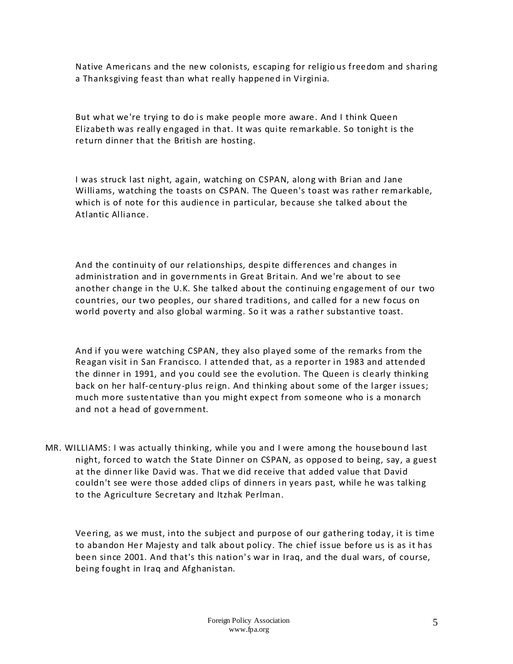Native Americans and the new colonists, escaping for religio us freedom and sharing a Thanksgiving feast than what really happened in Virginia.

But what we're trying to do is make people more aware. And I think Queen Elizabeth was really engaged in that. It was quite remarkable. So tonight is the return dinner that the British are hosting.

I was struck last night, again, watching on CSPAN, along with Brian and Jane Williams, watching the toasts on CSPAN. The Queen's toast was rather remarkable, which is of note for this audience in particular, because she talked about the Atlantic Alliance.

And the continuity of our relationships, despite differences and changes in administration and in governments in Great Britain. And we're about to see another change in the U.K. She talked about the continuing engagement of our two countries, our two peoples, our shared traditions, and called for a new focus on world poverty and also global warming. So it was a rather substantive toast.

And if you were watching CSPAN, they also played some of the remarks from the Reagan visit in San Francisco. I attended that, as a reporter in 1983 and attended the dinner in 1991, and you could see the evolution. The Queen is clearly thinking back on her half-century-plus reign. And thinking about some of the larger issues; much more sustentative than you might expect from someone who is a monarch and not a head of government.

MR. WILLIAMS: I was actually thinking, while you and I were among the housebound last night, forced to watch the State Dinner on CSPAN, as opposed to being, say, a guest at the dinner like David was. That we did receive that added value that David couldn't see were those added clips of dinners in years past, while he was talking to the Agriculture Secretary and Itzhak Perlman.

Veering, as we must, into the subject and purpose of our gathering today, it is time to abandon Her Majesty and talk about policy. The chief issue before us is as it has been since 2001. And that's this nation's war in Iraq, and the dual wars, of course, being fought in Iraq and Afghanistan.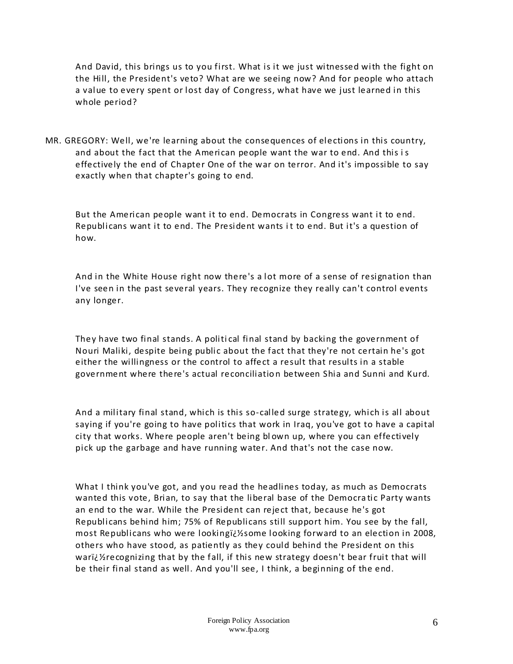And David, this brings us to you first. What is it we just witnessed with the fight on the Hill, the President's veto? What are we seeing now? And for people who attach a value to every spent or lost day of Congress, what have we just learned in this whole period?

MR. GREGORY: Well, we're learning about the consequences of elections in this country, and about the fact that the American people want the war to end. And this is effectively the end of Chapter One of the war on terror. And it's impossible to say exactly when that chapter's going to end.

But the American people want it to end. Democrats in Congress want it to end. Republicans want it to end. The President wants i t to end. But it's a question of how.

And in the White House right now there's a lot more of a sense of resignation than I've seen in the past several years. They recognize they really can't control events any longer.

They have two final stands. A politi cal final stand by backing the government of Nouri Maliki, despite being public about the fact that they're not certain he's got either the willingness or the control to affect a result that results in a stable government where there's actual reconciliatio n between Shia and Sunni and Kurd.

And a military final stand, which is this so-called surge strategy, which is all about saying if you're going to have politics that work in Iraq, you've got to have a capital city that works. Where people aren't being bl own up, where you can effectively pick up the garbage and have running water. And that's not the case now.

What I think you've got, and you read the headlines today, as much as Democrats wanted this vote, Brian, to say that the liberal base of the Democra tic Party wants an end to the war. While the President can reject that, because he's got Republicans behind him; 75% of Republicans still support him. You see by the fall, most Republicans who were looking $i/2$ some looking forward to an election in 2008, others who have stood, as patiently as they could behind the President on this wari $\chi$ 'ecognizing that by the fall, if this new strategy doesn't bear fruit that will be their final stand as well. And you'll see, I think, a beginning of the end.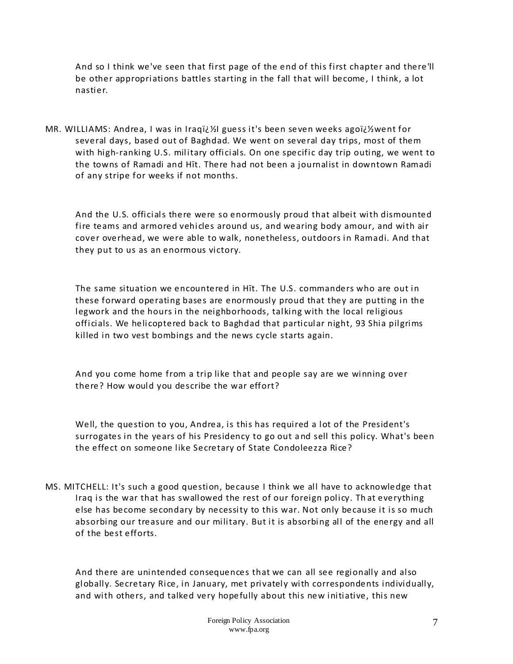And so I think we've seen that first page of the end of this first chapter and there'll be other appropriations battles starting in the fall that will become, I think, a lot nastier.

MR. WILLIAMS: Andrea, I was in Iraq�l guess it's been seven weeks ago�went for several days, based out of Baghdad. We went on several day trips, most of them with high-ranking U.S. military officials. On one specific day trip outing, we went to the towns of Ramadi and Hīt. There had not been a journalist in downtown Ramadi of any stripe for weeks if not months.

And the U.S. officials there were so enormously proud that albeit with dismounted fire teams and armored vehicles around us, and wearing body amour, and with air cover overhead, we were able to walk, nonetheless, outdoors in Ramadi. And that they put to us as an enormous victory.

The same situation we encountered in Hīt. The U.S. commanders who are out in these forward operating bases are enormously proud that they are putting in the legwork and the hours in the neighborhoods, talking with the local religious officials. We helicoptered back to Baghdad that particular night, 93 Shia pilgrims killed in two vest bombings and the news cycle starts again.

And you come home from a trip like that and people say are we winning over there? How would you describe the war effort?

Well, the question to you, Andrea, is this has required a lot of the President's surrogates in the years of his Presidency to go out a nd sell this policy. What's been the effect on someone like Secretary of State Condoleezza Rice?

MS. MITCHELL: It's such a good question, because I think we all have to acknowledge that Iraq is the war that has swallowed the rest of our foreign policy. Th at everything else has become secondary by necessity to this war. Not only because it is so much absorbing our treasure and our military. But it is absorbing all of the energy and all of the best efforts.

And there are unintended consequences that we can all see regionally and also globally. Secretary Rice, in January, met privately with correspondents individually, and with others, and talked very hopefully about this new initiative, this new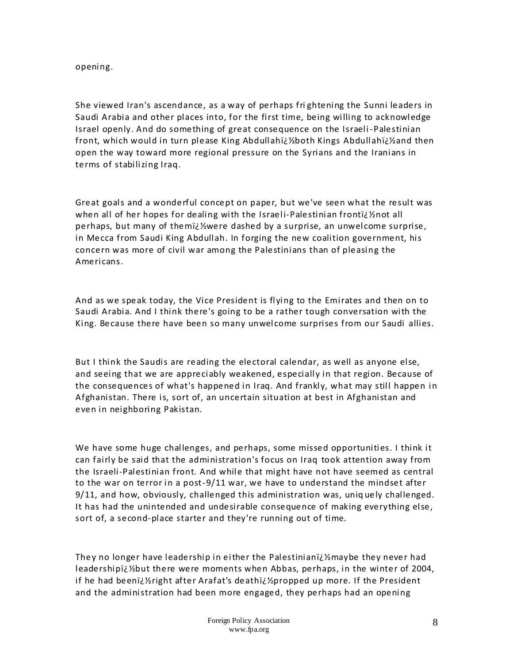#### opening.

She viewed Iran's ascendance, as a way of perhaps fri ghtening the Sunni leaders in Saudi Arabia and other places into, for the first time, being willing to acknowledge Israel openly. And do something of great consequence on the Israeli-Palestinian front, which would in turn please King Abdullah�both Kings Abdullah�and then open the way toward more regional pressure on the Syrians and the Iranians in terms of stabilizing Iraq.

Great goals and a wonderful concept on paper, but we've seen what the result was when all of her hopes for dealing with the Israeli-Palestinian fronti $\chi$  2not all perhaps, but many of them�were dashed by a surprise, an unwelcome surprise, in Mecca from Saudi King Abdullah. In forging the new coalition government, his concern was more of civil war among the Palestinians than of pleasing the Americans.

And as we speak today, the Vice President is flying to the Emirates and then on to Saudi Arabia. And I think there's going to be a rather tough conversation with the King. Because there have been so many unwelcome surprises from our Saudi allies.

But I think the Saudis are reading the electoral calendar, as well as anyone else, and seeing that we are appreciably weakened, especially in that region. Because of the consequences of what's happened in Iraq. And frankly, what may still happen in Afghanistan. There is, sort of, an uncertain situation at best in Afghanistan and even in neighboring Pakistan.

We have some huge challenges, and perhaps, some missed opportunities. I think it can fairly be said that the administration's focus on Iraq took attention away from the Israeli-Palestinian front. And while that might have not have seemed as central to the war on terror in a post-9/11 war, we have to understand the mindset after 9/11, and how, obviously, challenged this administration was, uniq uely challenged. It has had the unintended and undesirable consequence of making everything else, sort of, a second-place starter and they're running out of time.

They no longer have leadership in either the Palestiniani $\check{\nu}$ maybe they never had leadershipid 1/2 but there were moments when Abbas, perhaps, in the winter of 2004, if he had been�right after Arafat's death�propped up more. If the President and the administration had been more engaged, they perhaps had an opening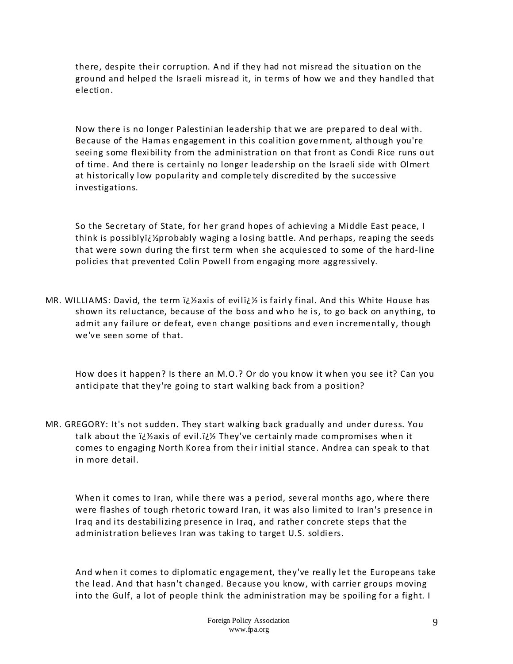there, despite their corruption. And if they had not misread the situation on the ground and helped the Israeli misread it, in terms of how we and they handled that election.

Now there is no longer Palestinian leadership that we are prepared to deal with. Because of the Hamas engagement in this coalition government, although you're seeing some flexibility from the administration on that front as Condi Rice runs out of time. And there is certainly no longer leadership on the Israeli side with Olmert at historically low popularity and comple tely discredited by the successive investigations.

So the Secretary of State, for her grand hopes of achieving a Middle East peace, I think is possiblyij/2probably waging a losing battle. And perhaps, reaping the seeds that were sown during the first term when she acquiesced to some of the hard-line policies that prevented Colin Powell from engaging more aggressively.

MR. WILLIAMS: David, the term *ij* haxis of evilij k is fairly final. And this White House has shown its reluctance, because of the boss and who he is, to go back on anything, to admit any failure or defeat, even change positions and even incrementally, though we've seen some of that.

How does it happen? Is there an M.O.? Or do you know it when you see it? Can you anticipate that they're going to start walking back from a position?

MR. GREGORY: It's not sudden. They start walking back gradually and under duress. You talk about the  $i\zeta$  Yaxis of evil. $i\zeta$  They've certainly made compromises when it comes to engaging North Korea from their initial stance. Andrea can speak to that in more detail.

When it comes to Iran, while there was a period, several months ago, where there were flashes of tough rhetoric toward Iran, it was also limited to Iran's presence in Iraq and its destabilizing presence in Iraq, and rather concrete steps that the administration believes Iran was taking to target U.S. soldiers.

And when it comes to diplomatic engagement, they've really let the Europeans take the lead. And that hasn't changed. Because you know, with carrier groups moving into the Gulf, a lot of people think the administration may be spoiling for a fight. I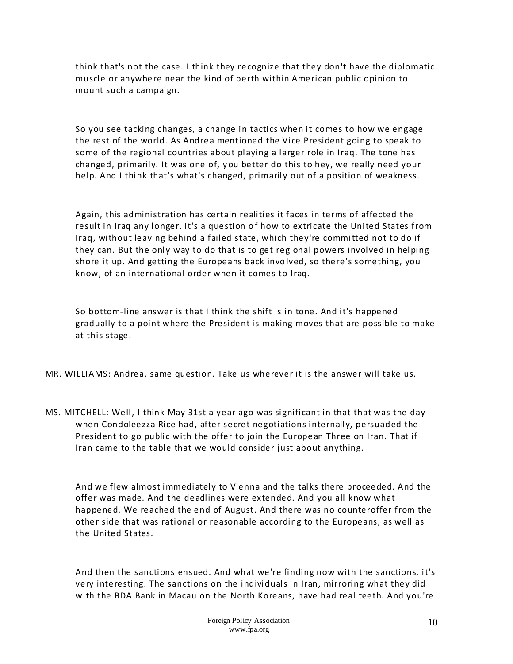think that's not the case. I think they recognize that they don't have the diplomatic muscle or anywhere near the kind of berth within American public opinion to mount such a campaign.

So you see tacking changes, a change in tactics when it comes to how we engage the rest of the world. As Andrea mentioned the Vice President going to speak to some of the regional countries about playing a larger role in Iraq. The tone has changed, primarily. It was one of, y ou better do this to hey, we really need your help. And I think that's what's changed, primarily out of a position of weakness.

Again, this administration has certain realities it faces in terms of affected the result in Iraq any longer. It's a question of how to extricate the United States from Iraq, without leaving behind a failed state, which they're committed not to do if they can. But the only way to do that is to get regional powers involved in helping shore it up. And getting the Europeans back invo lved, so there's something, you know, of an international order when it comes to Iraq.

So bottom-line answer is that I think the shift is in tone. And it's happened gradually to a point where the President is making moves that are possible to make at this stage.

- MR. WILLIAMS: Andrea, same question. Take us wherever it is the answer will take us.
- MS. MITCHELL: Well, I think May 31st a year ago was significant in that that was the day when Condoleezza Rice had, after secret negotiations internally, persuaded the President to go public with the offer to join the European Three on Iran. That if Iran came to the table that we would consider just about anything.

And we flew almost immediately to Vienna and the talks there proceeded. And the offer was made. And the deadlines were extended. And you all know what happened. We reached the end of August. And there was no counteroffer from the other side that was rational or reasonable according to the Europeans, as well as the United States.

And then the sanctions ensued. And what we're finding now with the sanctions, it's very interesting. The sanctions on the individuals in Iran, mirroring what they did with the BDA Bank in Macau on the North Koreans, have had real teeth. And you're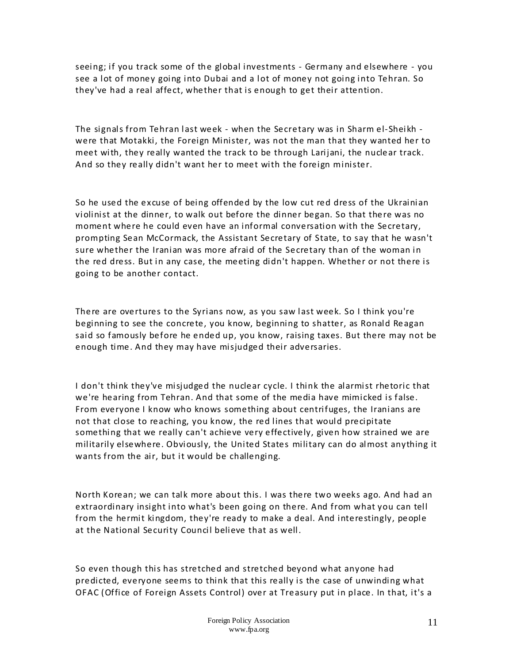seeing; if you track some of the global investments - Germany and elsewhere - you see a lot of money going into Dubai and a lot of money not going into Tehran. So they've had a real affect, whether that is enough to get their attention.

The signals from Tehran last week - when the Secretary was in Sharm el-Sheikh were that Motakki, the Foreign Minister, was not the man that they wanted her to meet with, they really wanted the track to be through Larijani, the nuclear track. And so they really didn't want her to meet with the foreign minister.

So he used the excuse of being offended by the low cut red dress of the Ukrainian violinist at the dinner, to walk out before the dinner began. So that there was no moment where he could even have an informal conversation with the Secretary, prompting Sean McCormack, the Assistant Secretary of State, to say that he wasn't sure whether the Iranian was more afraid of the Secretary than of the woman in the red dress. But in any case, the meeting didn't happen. Whether or not there is going to be another contact.

There are overtures to the Syrians now, as you saw last week. So I think you're beginning to see the concrete, you know, beginning to shatter, as Ronald Reagan said so famously before he ended up, you know, raising taxes. But there may not be enough time. And they may have misjudged their adversaries.

I don't think they've misjudged the nuclear cycle. I think the alarmist rhetoric that we're hearing from Tehran. And that some of the media have mimicked is false. From everyone I know who knows something about centrifuges, the Iranians are not that close to reaching, you know, the red lines that would precipitate something that we really can't achieve very effectively, given how strained we are militarily elsewhere. Obviously, the United States military can do almost anything it wants from the air, but it would be challenging.

North Korean; we can talk more about this. I was there two weeks ago. And had an extraordinary insight into what's been going on there. And from what you can tell from the hermit kingdom, they're ready to make a deal. And interestingly, people at the National Security Council believe that as well.

So even though this has stretched and stretched beyond what anyone had predicted, everyone seems to think that this really is the case of unwinding what OFAC (Office of Foreign Assets Control) over at Treasury put in place. In that, it's a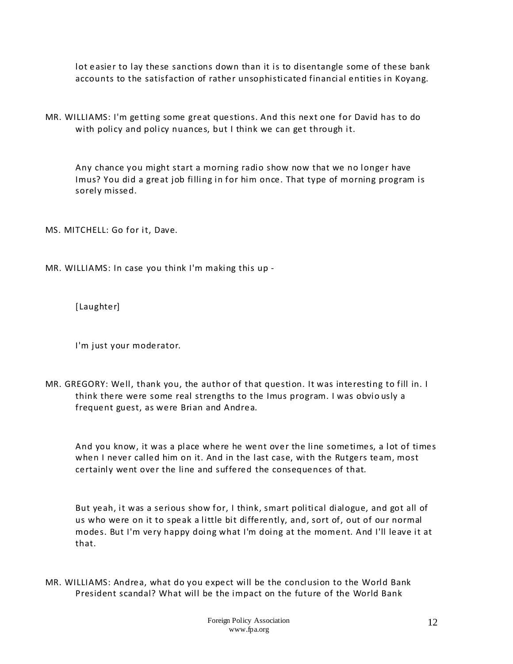lot easier to lay these sanctions down than it is to disentangle some of these bank accounts to the satisfaction of rather unsophisticated financial entities in Koyang.

MR. WILLIAMS: I'm getting some great questions. And this next one for David has to do with policy and policy nuances, but I think we can get through it.

Any chance you might start a morning radio show now that we no longer have Imus? You did a great job filling in for him once. That type of morning program is sorely missed.

MS. MITCHELL: Go for it, Dave.

MR. WILLIAMS: In case you think I'm making this up -

[Laughter]

I'm just your moderator.

MR. GREGORY: Well, thank you, the author of that question. It was interesting to fill in. I think there were some real strengths to the Imus program. I was obvio usly a frequent guest, as were Brian and Andrea.

And you know, it was a place where he went over the line sometimes, a lot of times when I never called him on it. And in the last case, with the Rutgers team, most certainly went over the line and suffered the consequences of that.

But yeah, it was a serious show for, I think, smart political dialogue, and got all of us who were on it to speak a little bit differently, and, sort of, out of our normal modes. But I'm very happy doing what I'm doing at the moment. And I'll leave it at that.

MR. WILLIAMS: Andrea, what do you expect will be the conclusion to the World Bank President scandal? What will be the impact on the future of the World Bank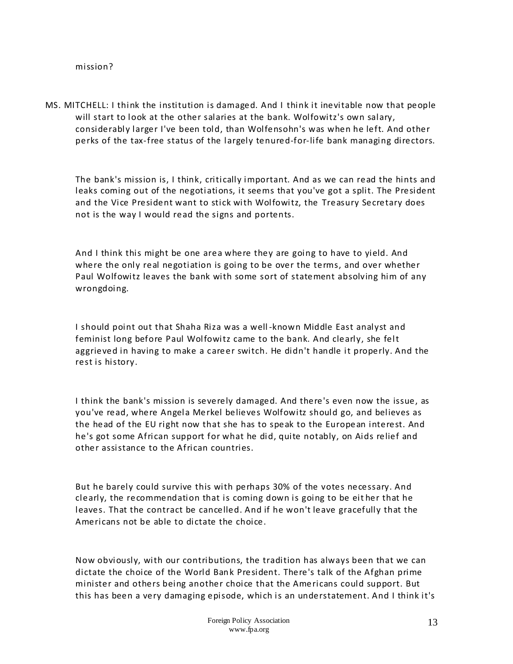#### mission?

MS. MITCHELL: I think the institution is damaged. And I think it inevitable now that people will start to look at the other salaries at the bank. Wolfowitz's own salary, considerably larger I've been told, than Wolfensohn's was when he left. And other perks of the tax-free status of the largely tenured-for-life bank managing directors.

The bank's mission is, I think, critically important. And as we can read the hints and leaks coming out of the negotiations, it seems that you've got a split. The President and the Vice President want to stick with Wolfowitz, the Treasury Secretary does not is the way I would read the signs and portents.

And I think this might be one area where they are going to have to yield. And where the only real negotiation is going to be over the terms, and over whether Paul Wolfowitz leaves the bank with some sort of statement absolving him of any wrongdoing.

I should point out that Shaha Riza was a well -known Middle East analyst and feminist long before Paul Wolfowitz came to the bank. And clearly, she felt aggrieved in having to make a career switch. He didn't handle it properly. And the rest is history.

I think the bank's mission is severely damaged. And there's even now the issue, as you've read, where Angela Merkel believes Wolfowitz should go, and believes as the head of the EU right now that she has to speak to the European interest. And he's got some African support for what he did, quite notably, on Aids relief and other assistance to the African countries.

But he barely could survive this with perhaps 30% of the votes necessary. And clearly, the recommendation that is coming down is going to be eit her that he leaves. That the contract be cancelled. And if he won't leave gracefully that the Americans not be able to dictate the choice.

Now obviously, with our contributions, the tradition has always been that we can dictate the choice of the World Bank President. There's talk of the Afghan prime minister and others being another choice that the Americans could support. But this has been a very damaging episode, which is an understatement. And I think it's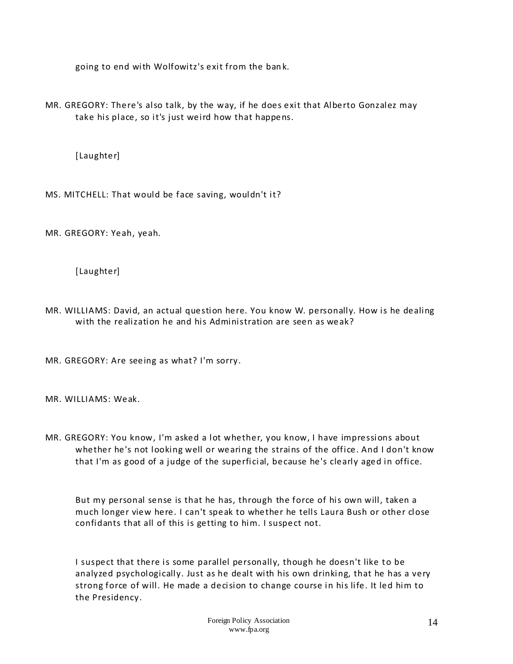going to end with Wolfowitz's exit from the ban k.

MR. GREGORY: There's also talk, by the way, if he does exit that Alberto Gonzalez may take his place, so it's just weird how that happens.

[Laughter]

MS. MITCHELL: That would be face saving, wouldn't it?

MR. GREGORY: Yeah, yeah.

[Laughter]

MR. WILLIAMS: David, an actual question here. You know W. personally. How is he dealing with the realization he and his Administration are seen as weak?

MR. GREGORY: Are seeing as what? I'm sorry.

MR. WILLIAMS: Weak.

MR. GREGORY: You know, I'm asked a lot whether, you know, I have impressions about whether he's not looking well or wearing the strains of the office. And I don't know that I'm as good of a judge of the superficial, because he's clearly aged in office.

But my personal sense is that he has, through the force of his own will, taken a much longer view here. I can't speak to whether he tells Laura Bush or other close confidants that all of this is getting to him. I suspect not.

I suspect that there is some parallel personally, though he doesn't like to be analyzed psychologically. Just as he dealt with his own drinking, that he has a very strong force of will. He made a decision to change course in his life. It led him to the Presidency.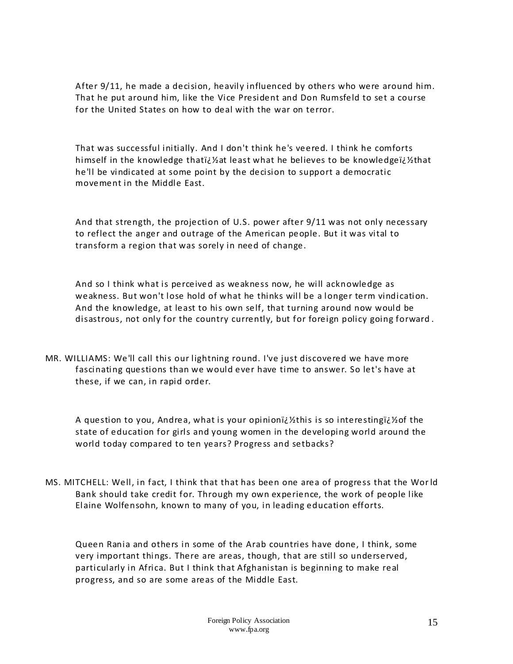After 9/11, he made a decision, heavily influenced by others who were around him. That he put around him, like the Vice President and Don Rumsfeld to set a course for the United States on how to deal with the war on terror.

That was successful initially. And I don't think he's veered. I think he comforts himself in the knowledge thati¿%at least what he believes to be knowledgeï¿%that he'll be vindicated at some point by the decision to support a democratic movement in the Middle East.

And that strength, the projection of U.S. power after 9/11 was not only necessary to reflect the anger and outrage of the American people. But it was vital to transform a region that was sorely in need of change.

And so I think what is perceived as weakness now, he will acknowledge as weakness. But won't lose hold of what he thinks will be a longer term vindication. And the knowledge, at least to his own self, that turning around now would be disastrous, not only for the country currently, but for foreign policy going forward .

MR. WILLIAMS: We'll call this our lightning round. I've just discovered we have more fascinating questions than we would ever have time to answer. So let's have at these, if we can, in rapid order.

A question to you, Andrea, what is your opinioni $i$ kthis is so interestingi $i$ kof the state of education for girls and young women in the developing world around the world today compared to ten years? Progress and setbacks?

MS. MITCHELL: Well, in fact, I think that that has been one area of progress that the Wor ld Bank should take credit for. Through my own experience, the work of people like Elaine Wolfensohn, known to many of you, in leading education efforts.

Queen Rania and others in some of the Arab countries have done, I think, some very important things. There are areas, though, that are still so underserved, particularly in Africa. But I think that Afghanistan is beginning to make real progress, and so are some areas of the Middle East.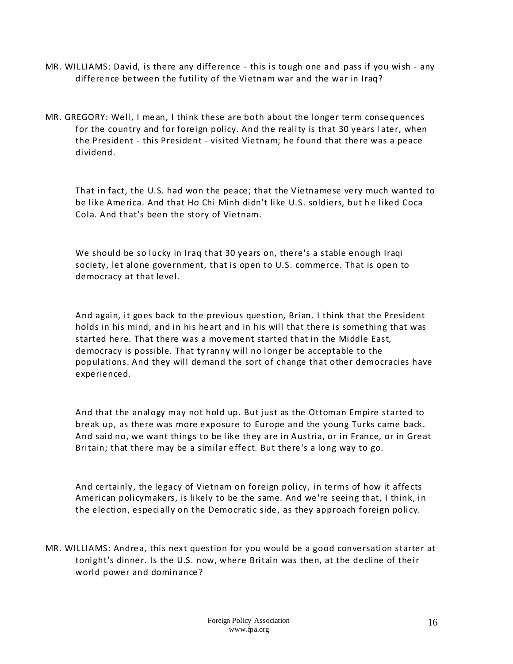- MR. WILLIAMS: David, is there any difference this is tough one and pass if you wish any difference between the futility of the Vietnam war and the war in Iraq?
- MR. GREGORY: Well, I mean, I think these are both about the longer term consequences for the country and for foreign policy. And the reality is that 30 years l ater, when the President - this President - visited Vietnam; he found that there was a peace dividend.

That in fact, the U.S. had won the peace; that the Vietnamese very much wanted to be like America. And that Ho Chi Minh didn't like U.S. soldiers, but he liked Coca Cola. And that's been the story of Vietnam.

We should be so lucky in Iraq that 30 years on, there's a stable enough Iraqi society, let alone government, that is open to U.S. commerce. That is open to democracy at that level.

And again, it goes back to the previous question, Brian. I think that the President holds in his mind, and in his heart and in his will that there is something that was started here. That there was a movement started that in the Middle East, democracy is possible. That ty ranny will no longer be acceptable to the populations. And they will demand the sort of change that other democracies have experienced.

And that the analogy may not hold up. But just as the Ottoman Empire started to break up, as there was more exposure to Europe and the young Turks came back. And said no, we want things to be like they are in Austria, or in France, or in Great Britain; that there may be a similar effect. But there's a long way to go.

And certainly, the legacy of Vietnam on foreign policy, in terms of how it affects American policymakers, is likely to be the same. And we're seeing that, I think, in the election, especially on the Democratic side, as they approach foreign policy.

MR. WILLIAMS: Andrea, this next question for you would be a good conversation starter at tonight's dinner. Is the U.S. now, where Britain was then, at the decline of their world power and dominance?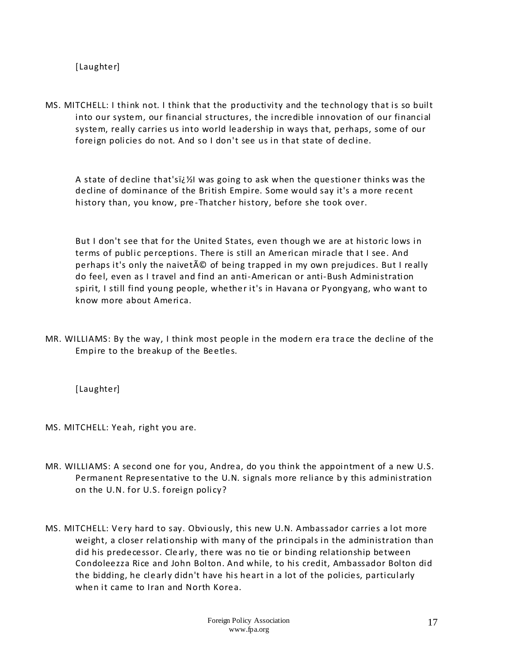[Laughter]

MS. MITCHELL: I think not. I think that the productivity and the technology that is so built into our system, our financial structures, the incredible innovation of our financial system, really carries us into world leadership in ways that, perhaps, some of our foreign policies do not. And so I don't see us in that state of decline.

A state of decline that's�I was going to ask when the questioner thinks was the decline of dominance of the British Empire. Some would say it's a more recent history than, you know, pre -Thatcher history, before she took over.

But I don't see that for the United States, even though we are at historic lows in terms of public perceptions. There is still an American miracle that I see. And perhaps it's only the naivet $\tilde{A}$ © of being trapped in my own prejudices. But I really do feel, even as I travel and find an anti-American or anti-Bush Administration spirit, I still find young people, whether it's in Havana or Pyongyang, who want to know more about America.

MR. WILLIAMS: By the way, I think most people in the modern era tra ce the decline of the Empire to the breakup of the Beetles.

[Laughter]

MS. MITCHELL: Yeah, right you are.

- MR. WILLIAMS: A second one for you, Andrea, do you think the appointment of a new U.S. Permanent Representative to the U.N. signals more reliance b y this administration on the U.N. for U.S. foreign policy?
- MS. MITCHELL: Very hard to say. Obviously, this new U.N. Ambassador carries a lot more weight, a closer relationship with many of the principals in the administration than did his predecessor. Cle arly, there was no tie or binding relationship between Condoleezza Rice and John Bolton. And while, to his credit, Ambassador Bolton did the bidding, he clearly didn't have his heart in a lot of the policies, particularly when it came to Iran and North Korea.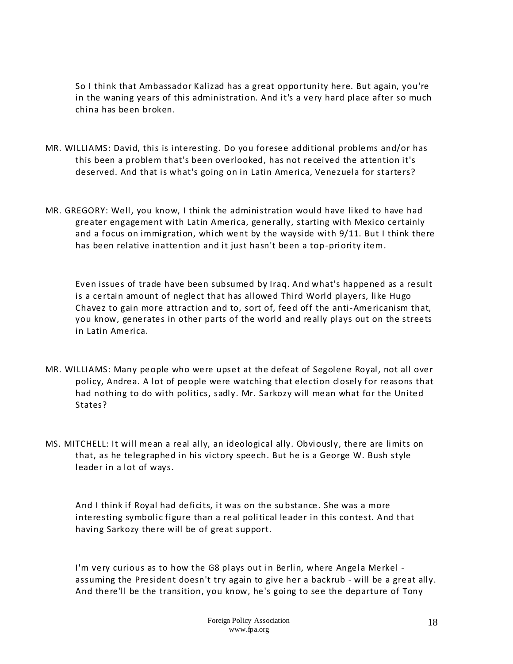So I think that Ambassador Kalizad has a great opportunity here. But again, you're in the waning years of this administration. And it's a very hard place after so much china has been broken.

- MR. WILLIAMS: David, this is interesting. Do you foresee additional problems and/or has this been a problem that's been overlooked, has not received the attention it's deserved. And that is what's going on in Latin America, Venezuela for starters?
- MR. GREGORY: Well, you know, I think the administration would have liked to have had greater engagement with Latin America, generally, starting with Mexico certainly and a focus on immigration, which went by the wayside with 9/11. But I think there has been relative inattention and it just hasn't been a top-priority item.

Even issues of trade have been subsumed by Iraq. And what's happened as a result is a certain amount of neglect that has allowed Third World players, like Hugo Chavez to gain more attraction and to, sort of, feed off the anti-Americanism that, you know, generates in other parts of the world and really plays out on the streets in Latin America.

- MR. WILLIAMS: Many people who were upset at the defeat of Segolene Royal, not all over policy, Andrea. A lot of people were watching that election closely for reasons that had nothing to do with politics, sadly. Mr. Sarkozy will mean what for the United States?
- MS. MITCHELL: It will mean a real ally, an ideological ally. Obviously, there are limits on that, as he telegraphed in his victory speech. But he is a George W. Bush style leader in a lot of ways.

And I think if Royal had deficits, it was on the su bstance. She was a more interesting symbolic figure than a real political leader in this contest. And that having Sarkozy there will be of great support.

I'm very curious as to how the G8 plays out in Berlin, where Angela Merkel assuming the President doesn't try again to give her a backrub - will be a great ally. And there'll be the transition, you know, he's going to see the departure of Tony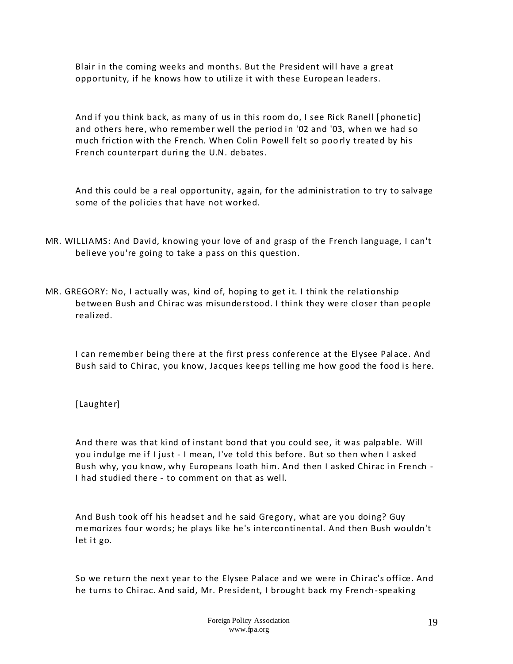Blair in the coming weeks and months. But the President will have a great opportunity, if he knows how to utilize it with these European leaders.

And if you think back, as many of us in this room do, I see Rick Ranell [phonetic] and others here, who remember well the period in '02 and '03, when we had so much friction with the French. When Colin Powell felt so poo rly treated by his French counterpart during the U.N. debates.

And this could be a real opportunity, again, for the administration to try to salvage some of the policies that have not worked.

- MR. WILLIAMS: And David, knowing your love of and grasp of the French language, I can't believe you're going to take a pass on this question.
- MR. GREGORY: No, I actually was, kind of, hoping to get it. I think the relationship between Bush and Chirac was misunderstood. I think they were closer than people realized.

I can remember being there at the first press conference at the Elysee Palace. And Bush said to Chirac, you know, Jacques keeps telling me how good the food is here.

#### [Laughter]

And there was that kind of instant bond that you could see, it was palpable. Will you indulge me if I just - I mean, I've told this before. But so then when I asked Bush why, you know, why Europeans loath him. And then I asked Chirac in French - I had studied there - to comment on that as well.

And Bush took off his headset and he said Gregory, what are you doing? Guy memorizes four words; he plays like he's intercontinental. And then Bush wouldn't let it go.

So we return the next year to the Elysee Palace and we were in Chirac's office. And he turns to Chirac. And said, Mr. President, I brought back my French-speaking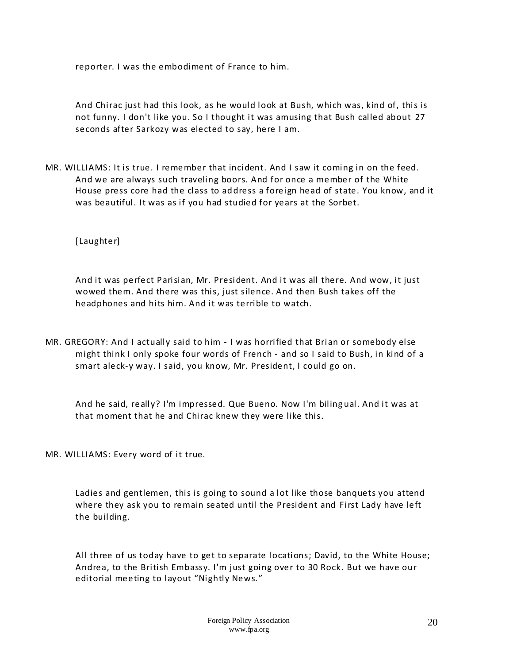reporter. I was the embodiment of France to him.

And Chirac just had this look, as he would look at Bush, which was, kind of, this is not funny. I don't like you. So I thought it was amusing that Bush called about 27 seconds after Sarkozy was elected to say, here I am.

MR. WILLIAMS: It is true. I remember that incident. And I saw it coming in on the feed. And we are always such traveling boors. And for once a member of the White House press core had the class to address a foreign head of state. You know, and it was beautiful. It was as if you had studied for years at the Sorbet.

[Laughter]

And it was perfect Parisian, Mr. President. And it was all there. And wow, it just wowed them. And there was this, just silence. And then Bush takes off the headphones and hits him. And it was terrible to watch.

MR. GREGORY: And I actually said to him - I was horrified that Brian or somebody else might think I only spoke four words of French - and so I said to Bush, in kind of a smart aleck-y way. I said, you know, Mr. President, I could go on.

And he said, really? I'm impressed. Que Bueno. Now I'm biling ual. And it was at that moment that he and Chirac knew they were like this.

MR. WILLIAMS: Every word of it true.

Ladies and gentlemen, this is going to sound a lot like those banquets you attend where they ask you to remain seated until the President and First Lady have left the building.

All three of us today have to get to separate locations; David, to the White House; Andrea, to the British Embassy. I'm just going over to 30 Rock. But we have our editorial meeting to layout "Nightly News."